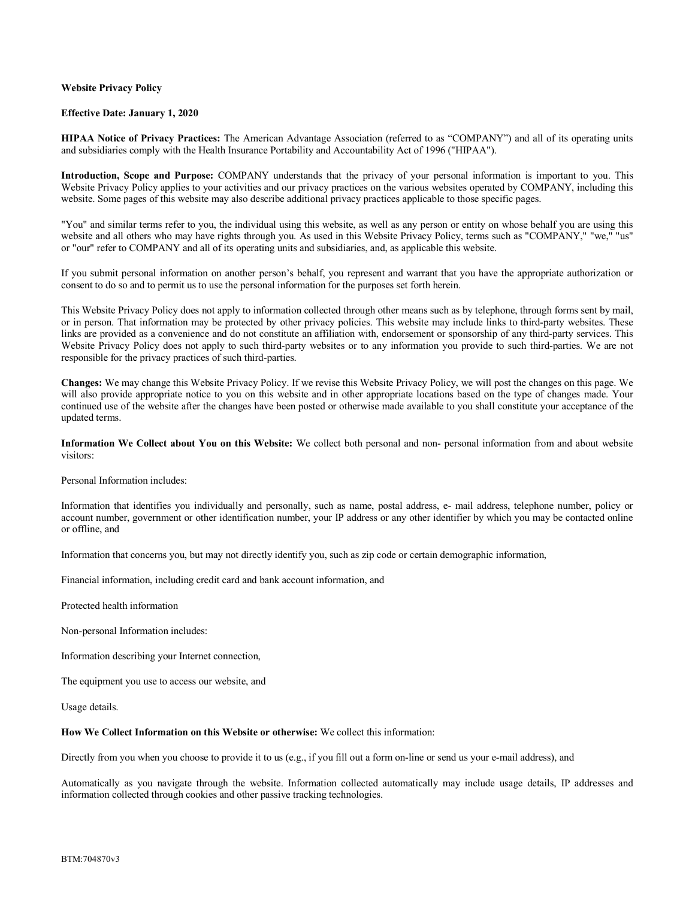## **Website Privacy Policy**

## **Effective Date: January 1, 2020**

**HIPAA Notice of Privacy Practices:** The American Advantage Association (referred to as "COMPANY") and all of its operating units and subsidiaries comply with the Health Insurance Portability and Accountability Act of 1996 ("HIPAA").

**Introduction, Scope and Purpose:** COMPANY understands that the privacy of your personal information is important to you. This Website Privacy Policy applies to your activities and our privacy practices on the various websites operated by COMPANY, including this website. Some pages of this website may also describe additional privacy practices applicable to those specific pages.

"You" and similar terms refer to you, the individual using this website, as well as any person or entity on whose behalf you are using this website and all others who may have rights through you. As used in this Website Privacy Policy, terms such as "COMPANY," "we," "us" or "our" refer to COMPANY and all of its operating units and subsidiaries, and, as applicable this website.

If you submit personal information on another person's behalf, you represent and warrant that you have the appropriate authorization or consent to do so and to permit us to use the personal information for the purposes set forth herein.

This Website Privacy Policy does not apply to information collected through other means such as by telephone, through forms sent by mail, or in person. That information may be protected by other privacy policies. This website may include links to third-party websites. These links are provided as a convenience and do not constitute an affiliation with, endorsement or sponsorship of any third-party services. This Website Privacy Policy does not apply to such third-party websites or to any information you provide to such third-parties. We are not responsible for the privacy practices of such third-parties.

**Changes:** We may change this Website Privacy Policy. If we revise this Website Privacy Policy, we will post the changes on this page. We will also provide appropriate notice to you on this website and in other appropriate locations based on the type of changes made. Your continued use of the website after the changes have been posted or otherwise made available to you shall constitute your acceptance of the updated terms.

**Information We Collect about You on this Website:** We collect both personal and non- personal information from and about website visitors:

Personal Information includes:

Information that identifies you individually and personally, such as name, postal address, e- mail address, telephone number, policy or account number, government or other identification number, your IP address or any other identifier by which you may be contacted online or offline, and

Information that concerns you, but may not directly identify you, such as zip code or certain demographic information,

Financial information, including credit card and bank account information, and

Protected health information

Non-personal Information includes:

Information describing your Internet connection,

The equipment you use to access our website, and

Usage details.

**How We Collect Information on this Website or otherwise:** We collect this information:

Directly from you when you choose to provide it to us (e.g., if you fill out a form on-line or send us your e-mail address), and

Automatically as you navigate through the website. Information collected automatically may include usage details, IP addresses and information collected through cookies and other passive tracking technologies.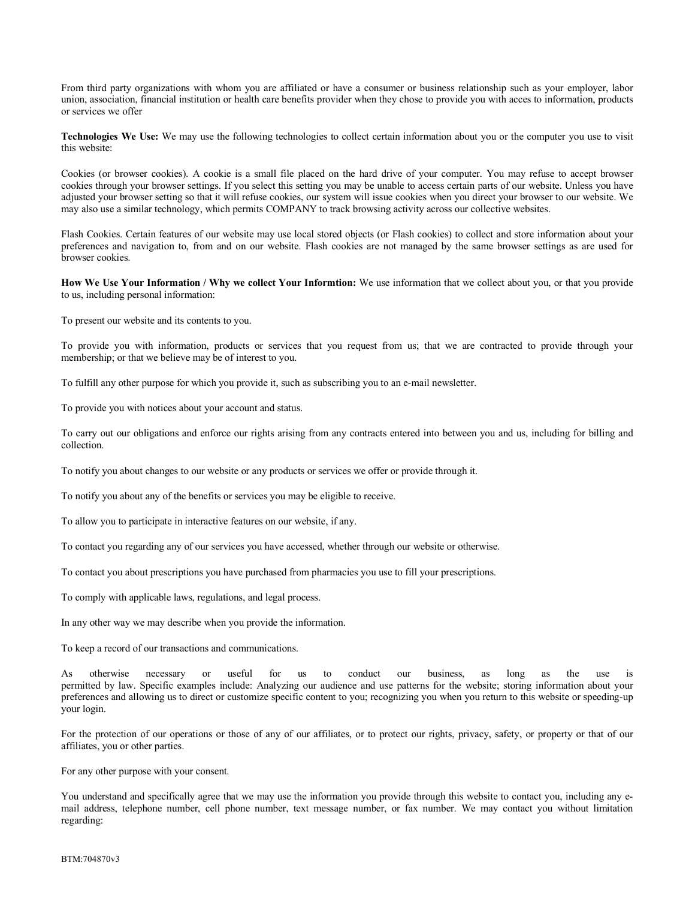From third party organizations with whom you are affiliated or have a consumer or business relationship such as your employer, labor union, association, financial institution or health care benefits provider when they chose to provide you with acces to information, products or services we offer

**Technologies We Use:** We may use the following technologies to collect certain information about you or the computer you use to visit this website:

Cookies (or browser cookies). A cookie is a small file placed on the hard drive of your computer. You may refuse to accept browser cookies through your browser settings. If you select this setting you may be unable to access certain parts of our website. Unless you have adjusted your browser setting so that it will refuse cookies, our system will issue cookies when you direct your browser to our website. We may also use a similar technology, which permits COMPANY to track browsing activity across our collective websites.

Flash Cookies. Certain features of our website may use local stored objects (or Flash cookies) to collect and store information about your preferences and navigation to, from and on our website. Flash cookies are not managed by the same browser settings as are used for browser cookies.

**How We Use Your Information / Why we collect Your Informtion:** We use information that we collect about you, or that you provide to us, including personal information:

To present our website and its contents to you.

To provide you with information, products or services that you request from us; that we are contracted to provide through your membership; or that we believe may be of interest to you.

To fulfill any other purpose for which you provide it, such as subscribing you to an e-mail newsletter.

To provide you with notices about your account and status.

To carry out our obligations and enforce our rights arising from any contracts entered into between you and us, including for billing and collection.

To notify you about changes to our website or any products or services we offer or provide through it.

To notify you about any of the benefits or services you may be eligible to receive.

To allow you to participate in interactive features on our website, if any.

To contact you regarding any of our services you have accessed, whether through our website or otherwise.

To contact you about prescriptions you have purchased from pharmacies you use to fill your prescriptions.

To comply with applicable laws, regulations, and legal process.

In any other way we may describe when you provide the information.

To keep a record of our transactions and communications.

As otherwise necessary or useful for us to conduct our business, as long as the use is permitted by law. Specific examples include: Analyzing our audience and use patterns for the website; storing information about your preferences and allowing us to direct or customize specific content to you; recognizing you when you return to this website or speeding-up your login.

For the protection of our operations or those of any of our affiliates, or to protect our rights, privacy, safety, or property or that of our affiliates, you or other parties.

For any other purpose with your consent.

You understand and specifically agree that we may use the information you provide through this website to contact you, including any email address, telephone number, cell phone number, text message number, or fax number. We may contact you without limitation regarding: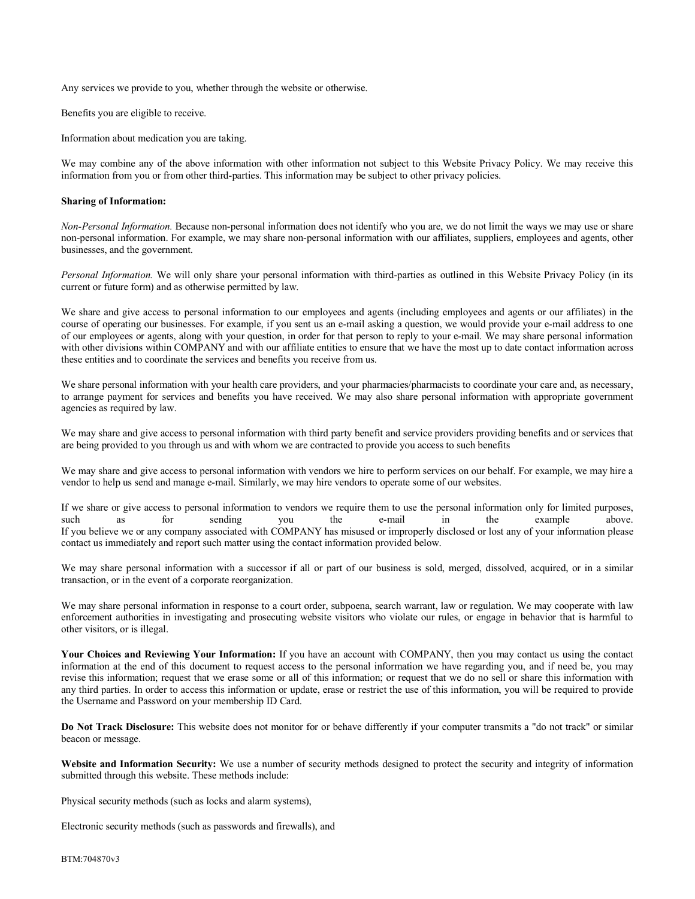Any services we provide to you, whether through the website or otherwise.

Benefits you are eligible to receive.

Information about medication you are taking.

We may combine any of the above information with other information not subject to this Website Privacy Policy. We may receive this information from you or from other third-parties. This information may be subject to other privacy policies.

## **Sharing of Information:**

*Non-Personal Information.* Because non-personal information does not identify who you are, we do not limit the ways we may use or share non-personal information. For example, we may share non-personal information with our affiliates, suppliers, employees and agents, other businesses, and the government.

*Personal Information.* We will only share your personal information with third-parties as outlined in this Website Privacy Policy (in its current or future form) and as otherwise permitted by law.

We share and give access to personal information to our employees and agents (including employees and agents or our affiliates) in the course of operating our businesses. For example, if you sent us an e-mail asking a question, we would provide your e-mail address to one of our employees or agents, along with your question, in order for that person to reply to your e-mail. We may share personal information with other divisions within COMPANY and with our affiliate entities to ensure that we have the most up to date contact information across these entities and to coordinate the services and benefits you receive from us.

We share personal information with your health care providers, and your pharmacies/pharmacists to coordinate your care and, as necessary, to arrange payment for services and benefits you have received. We may also share personal information with appropriate government agencies as required by law.

We may share and give access to personal information with third party benefit and service providers providing benefits and or services that are being provided to you through us and with whom we are contracted to provide you access to such benefits

We may share and give access to personal information with vendors we hire to perform services on our behalf. For example, we may hire a vendor to help us send and manage e-mail. Similarly, we may hire vendors to operate some of our websites.

If we share or give access to personal information to vendors we require them to use the personal information only for limited purposes, such as for sending you the e-mail in the example above. If you believe we or any company associated with COMPANY has misused or improperly disclosed or lost any of your information please contact us immediately and report such matter using the contact information provided below.

We may share personal information with a successor if all or part of our business is sold, merged, dissolved, acquired, or in a similar transaction, or in the event of a corporate reorganization.

We may share personal information in response to a court order, subpoena, search warrant, law or regulation. We may cooperate with law enforcement authorities in investigating and prosecuting website visitors who violate our rules, or engage in behavior that is harmful to other visitors, or is illegal.

**Your Choices and Reviewing Your Information:** If you have an account with COMPANY, then you may contact us using the contact information at the end of this document to request access to the personal information we have regarding you, and if need be, you may revise this information; request that we erase some or all of this information; or request that we do no sell or share this information with any third parties. In order to access this information or update, erase or restrict the use of this information, you will be required to provide the Username and Password on your membership ID Card.

**Do Not Track Disclosure:** This website does not monitor for or behave differently if your computer transmits a "do not track" or similar beacon or message.

**Website and Information Security:** We use a number of security methods designed to protect the security and integrity of information submitted through this website. These methods include:

Physical security methods (such as locks and alarm systems),

Electronic security methods (such as passwords and firewalls), and